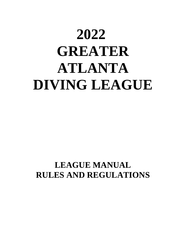# **2022 GREATER ATLANTA DIVING LEAGUE**

### **LEAGUE MANUAL RULES AND REGULATIONS**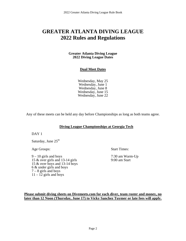#### **GREATER ATLANTA DIVING LEAGUE 2022 Rules and Regulations**

#### **Greater Atlanta Diving League 2022 Diving League Dates**

#### **Dual Meet Dates**

Wednesday, May 25 Wednesday, June 1 Wednesday, June 8 Wednesday, June 15 Wednesday, June 22

Any of these meets can be held any day before Championships as long as both teams agree.

#### **Diving League Championships at Georgia Tech**

DAY<sub>1</sub>

Saturday, June  $25<sup>th</sup>$ 

Age Groups: Start Times:

 $9 - 10$  girls and boys  $7:30$  am Warm-Up<br>15 & over girls and 13-14 girls  $9:00$  am Start 15  $&$  over girls and 13-14 girls 15 & over boys and 13-14 boys 6 & under girls and boys  $7 - 8$  girls and boys  $11 - 12$  girls and boys

**Please submit diving sheets on Divemeets.com for each diver, team roster and money, no later than 12 Noon (Thursday, June 17) to Vicky Sanchez Tuymer or late fees will apply.**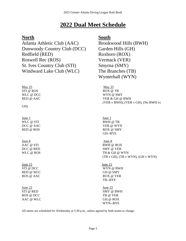### **2022 Dual Meet Schedule**

#### **North South**

Atlanta Athletic Club (AAC) Brookwood Hills (BWH) Dunwoody Country Club (DCC) Garden Hills (GH) Redfield (RED) Roxboro (ROX) Roswell Rec (ROS) Vermack (VER) St. Ives Country Club (STI) Smyrna (SMY) Windward Lake Club (WLC)The Branches (TB)

 $\text{May } 25$  May 25 STI @ ROS ROX @ TB

GH)

**I**une 1 June 1 WLC @ STI BWH @ TB

## **June 8** June 8

**June 15** June 15 RED @ WLC GH @ SMY

June 22 June 22 ROS @ DCC TB @ VER AAC @ WLC GH @ ROX

Wynterhall (WYN)

WLC @ DCC WYN @ SMY RED @ AAC VER & GH @ BWH (VER v BWH), (VER v GH), (No BWH vs

DCC @ AAC VER @ WYN RED @ ROS ROX @ SMY GH--BYE

AAC @ STI BWH @ ROX DCC @ RED SMY @ VER WLC @ ROS TB & GH @ WYN (TB v GH), (TB v WYN), (GH v WYN)

STI @ DCC WYN @ BWH ROS @ AAC ROX @ VER TB--BYE

STI @ RED SMY @ BWH WYN--BYE

All meets are scheduled for Wednesday at 5:30 p.m., unless agreed by both teams to change.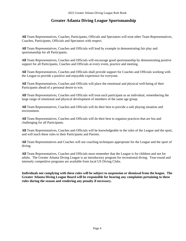#### **Greater Atlanta Diving League Sportsmanship**

**All** Team Representatives, Coaches, Participants, Officials and Spectators will treat other Team Representatives, Coaches, Participants, Officials and Spectators with respect.

**All** Team Representatives, Coaches and Officials will lead by example in demonstrating fair play and sportsmanship for all Participants.

**All** Team Representatives, Coaches and Officials will encourage good sportsmanship by demonstrating positive support for all Participants, Coaches and Officials at every event, practice and meeting.

**All** Team Representatives, Coaches and Officials shall provide support for Coaches and Officials working with the League to provide a positive and enjoyable experience for everyone.

**All** Team Representatives, Coaches and Officials will place the emotional and physical well-being of their Participants ahead of a personal desire to win.

**All** Team Representatives, Coaches and Officials will treat each participant as an individual, remembering the large range of emotional and physical development of members of the same age group.

**All** Team Representatives, Coaches and Officials will do their best to provide a safe playing situation and environment.

**All** Team Representatives, Coaches and Officials will do their best to organize practices that are fun and challenging for all Participants.

**All** Team Representatives, Coaches and Officials will be knowledgeable in the rules of the League and the sport, and will teach these rules to their Participants and Parents.

**All** Team Representatives and Coaches will use coaching techniques appropriate for the League and the sport of diving.

**All** Team Representatives, Coaches and Officials must remember that the League is for children and not for adults. The Greater Atlanta Diving League is an introductory program for recreational diving. Year-round and intensely competitive programs are available from local US Diving Clubs.

**Individuals not complying with these rules will be subject to suspension or dismissal from the league. The Greater Atlanta Diving League Board will be responsible for hearing any complaints pertaining to these rules during the season and rendering any penalty if necessary.**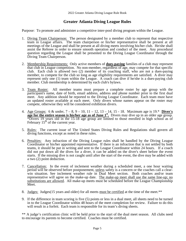#### **Greater Atlanta Diving League Rules**

Purpose: To promote and administer a competitive inter-pool diving program within the League.

- 1. Diving Team Chairperson: The person designated by a member club to represent that respective team in League affairs. The team chairperson or his/her representative shall be present at all meetings of the League and shall be present at all diving meets involving his/her club. He/she shall assist the Referee in order to ensure smooth operation and conduct of the meet. Any procedural question regarding the League shall be presented to the Diving League Coordinator through the Diving Team Chairperson.
- 2. Membership Requirements: Only active members of **dues-paying** families of a club may represent that club in League competition. No non-member, regardless of age, may compete for that specific club. Each club is allowed two (2) member of its coaching staff, who are not a dues-paying member, to compete for the club so long as age eligibility requirements are satisfied. A diver may represent only one (1) team within the League. A coach can dive if he/she is a dues-paying club member. Club membership is determined by each club's bylaws.
- 3. Team Roster: All member teams must prepare a complete roster by age group with the participant's name, date of birth, email address, address and phone number prior to the first dual meet. Any addition should be reported to the Diving League Coordinator. Each team must have an updated roster available at each meet. Only divers whose names appear on the roster may compete, otherwise they will be considered exhibition divers.
- 4. Age Groups: 6 & under, 7 8, 9 10, 11 12, 13 14, 15 18. Maximum age is 19.\* **Diver's age for the entire season is his/her age as of June 1<sup>st</sup>.** Divers may dive up in an older age group. \*Divers 19 years old in the 15-18 age group are limited to those enrolled in high school as of February  $15<sup>th</sup>$  of the current year.
- 5. Rules: The current issue of The United States Diving Rules and Regulations shall govern all diving functions, except as noted in these rules.
- 6. Penalties: Any infraction of the Diving League rules shall be handled by the Diving League Coordinator or his/her appointed representative. If there is an infraction that is not settled by both teams, it should be put in writing and sent to the League Coordinator within 24 hours. If a coach did not put down all the dives for a diver, it can be added on the diver's sheet before the event starts. If the missing dive is not caught until after the start of the event, the dive may be added with a two (2) point deduction.
- 7. Cancellation: In the event of inclement weather during a scheduled meet, a one hour waiting period will be observed before postponement, unless safety is a concern or the coaches call a clearwin situation. See inclement weather rule in Dual Meet section. Both coaches and/or team representative will agree on the make-up date. The make-up meet shall use the same line-up; no substitutions are allowed. All make-up meets must be scheduled before the League Championship Meet.
- 8. Judges: Judges(15 years and older) for all meets must be certified at the time of the meet.\*\*
- 9. If the difference in team scoring is five (5) points or less in a dual meet, all sheets need to be turned in to the League Coordinator within 48 hours of the meet completion for review. Failure to do this will result in a forfeit. Each team is responsible for its team's diving sheets.

\*\* A judge's certification clinic will be held prior to the start of the dual meet season. All clubs need to encourage its parents to become certified. Coaches must be certified.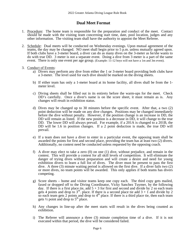#### **Dual Meet Format**

- 1. Procedure: The home team is responsible for the preparation and conduct of the meet. Contact should be made with the visiting team concerning start time, date, pool location, judges and any other information. The visiting team shall have the authority to appoint the Meet Referee.
- 2. Schedule: Dual meets will be conducted on Wednesday evenings. Upon mutual agreement of the teams, the day may be changed. NO meet shall begin prior to 5 p.m. unless mutually agreed upon. If both clubs have a 3-meter board, a diver can do as many dives on the 3-meter as he/she wants to do with true DD. 3 meter is not a separate event. Doing a dive from 3 meter is a part of the same event. There is only one event per age group. (Example: 11-12 boys will not have a 1m and 3m event).
- 3. Conduct of Events:
	- a) Divers may perform any dive from either the 1 or 3-meter board providing both clubs have a 3-meter. The level used for each dive should be marked on the diving sheets.
	- b) If either team has only a 1-meter board at its home facility, all dives shall be from the 1 meter level.
	- c) Diving sheets shall be filled out in its entirety before the warm-ups for the meet. Check DD's carefully. Once a diver's name is on the score sheet, it must remain as is. Any changes will result in exhibition status.
	- d) Dives may be changed up to 30 minutes before the specific event. After that, a two (2) point deduction will be made on any dive changes. Positions may be changed immediately before the dive without penalty. However, if the position change is an increase in DD, the DD will remain as listed. If the new position is a decrease in DD, it will change to the true DD. The lower DD will always prevail. For example, if a 201A is changed to a 201B, the DD will be 1.6 in position changes. If a 2 point deduction is made, the true DD will prevail.
	- e) If a team does not have a diver to enter in a particular event, the opposing team shall be awarded the points for first and second place, providing the team has at least two (2) divers. Additionally, no contest need be conducted unless requested by the opposing coach.
	- f) A diver may elect to take a zero  $(0)$  on one  $(1)$  dive, without prejudice, and remain in the contest. This will provide a contest for all skill levels of competition. It will eliminate the danger of trying dives without preparation and will create a desire and need for young exhibition divers to learn a full list of dives. The diver must be present to pass the first dive. A three (3) minute waiting period is allowed on the first dive. If a diver fails two (2) or more dives, no team points will be awarded. This only applies if both teams has divers competing.
	- g) Score sheets home and visitor teams keep one copy each. The third copy gets mailed, faxed or dropped off to the Diving Coordinator, Vicky Sanchez Tuymer, by the following day. If there is a first place tie, add  $5 + 3$  for first and second and divide by 2 so each team gets 4 points and drop to  $3<sup>rd</sup>$ . place. If there is a second place tie add  $3 + 1$  and divide by 2 so each team gets 2 points and drop to  $4<sup>th</sup>$  place. If there is a third place tie, then each team gets  $\frac{1}{2}$  point and drop to  $5^{\text{th}}$  place.
	- h) Any changes in line-up after the meet starts will result in the dives being counted as exhibition.
	- i) The Referee will announce a three (3) minute completion time of a dive. If it is not executed within that period, the dive will be considered failed.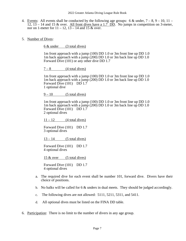- 4. Events: All events shall be conducted by the following age groups: 6 & under,  $7 8$ ,  $9 10$ ,  $11 \overline{12, 13}$  – 14 and 15 & over. All front dives have a 1.7 DD. No jumps in competition on 3-meter, nor on 1-meter for  $11 - 12$ ,  $13 - 14$  and 15 & over.
- 5. Number of Dives:

6 & under (3 total dives)

 1m front approach with a jump (100) DD 1.0 or 3m front line up DD 1.0 1m back approach with a jump (200) DD 1.0 or 3m back line up DD 1.0 Forward Dive (101) or any other dive DD 1.7

 $7 - 8$  (4 total dives)

 1m front approach with a jump (100) DD 1.0 or 3m front line up DD 1.0 1m back approach with a jump (200) DD 1.0 or 3m back line up DD 1.0 Forward Dive (101) DD 1.7 1 optional dive

 $9-10$  (5 total dives)

 1m front approach with a jump (100) DD 1.0 or 3m front line up DD 1.0 1m back approach with a jump (200) DD 1.0 or 3m back line up DD 1.0 Forward Dive (101) DD 1.7 2 optional dives

 $11 - 12$  (4 total dives)

Forward Dive (101) DD 1.7 3 optional dives

 $13 - 14$  (5 total dives)

Forward Dive (101) DD 1.7 4 optional dives

15 & over (5 total dives)

Forward Dive (101) DD 1.7 4 optional dives

- a. The required dive for each event shall be number 101, forward dive. Divers have their choice of positions.
- b. No balks will be called for 6 & unders in dual meets. They should be judged accordingly.
- c. The following dives are not allowed: 5111, 5211, 5311, and 5411.
- d. All optional dives must be listed on the FINA DD table.
- 6. Participation: There is no limit to the number of divers in any age group.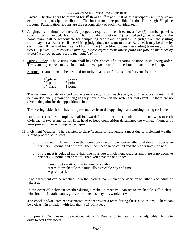2022 Greater Atlanta Diving League Rule Book

- 7. Awards: Ribbons will be awarded for  $1<sup>st</sup>$  through  $6<sup>th</sup>$  place. All other participants will receive an exhibition or participation ribbon. The host team is responsible for the  $1<sup>st</sup>$  through  $6<sup>th</sup>$  place ribbons. Participation ribbons are the responsibility of each individual team.
- 8. Judging: A minimum of three (3) judges is required for each event; a five (5) member panel is strongly recommended. Each team shall provide at least one (1) certified judge per event, and the home team shall be responsible for completing each panel of judges. A judge from the visiting team may act as Referee. If the visiting judge does not want to act as Referee, it may be done by committee. If the host team cannot furnish two (2) certified judges, the visiting team may furnish two (2) judges. *If a coach is judging, please refrain from interrupting the flow of the meet by excessive encouragement from the judge's chair.*
- 9. Diving Order: The visiting team shall have the choice of alternating position in its diving order. The team may choose to dive in the odd or even positions from the front or back of the lineup.
- 10. Scoring: Team points to be awarded for individual place finishes in each event shall be:

| $\frac{1}{2}$ <sup>st</sup> place<br>$\frac{2}{3}$ <sup>rd</sup> place | 5 points |
|------------------------------------------------------------------------|----------|
|                                                                        | 3 points |
|                                                                        | 1 point  |

The maximum points awarded to one team are eight (8) in each age group. The opposing team will be awarded one (1) point so long as they have a diver in the water for that event. If there are no divers, the point for the opposition is lost.

The scoring table should have a representative from the opposing team working during each event.

Dual Meet Trophies: Trophies shall be awarded to the team accumulating the most wins in each division. If two teams tie for first, head to head competition determines the winner. Number of wins prevails over winning percentages.

- 11. Inclement Weather: The decision to delay/resume or reschedule a meet due to inclement weather should proceed as follows:
	- a. If the meet is delayed more than one hour due to inclement weather and there is a decisive winner (25-point lead or more), then the meet can be called and the leader takes the win.
	- b. If the meet is delayed more than one hour due to inclement weather and there is no decisive winner (25-point lead or more), then you have the option to:
		- i. Continue to wait out the inclement weather
		- ii. Agree to reschedule to a mutually agreeable day and time
		- iii. Agree to a tie

If no agreement can be reached, then the leading team makes the decision to either reschedule or take a tie.

In the event of inclement weather during a make-up meet you can try to reschedule, call a clearwin situation if both teams agree, or both teams may be awarded a win.

The coach and/or team representative must represent a team during these discussions. There can be a clear-win situation with less than a 25-point lead.

12. Equipment: Facilities must be equipped with a 16' Duraflex diving board with an adjustable fulcrum in order to host home meets.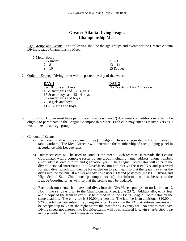#### **Greater Atlanta Diving League Championship Meet**

1. Age Groups and Events: The following shall be the age groups and events for the Greater Atlanta Diving League Championship Meet:

| 1-Meter Board: |             |
|----------------|-------------|
| $6 &$ under    | $11 - 12$   |
| $7 - 8$        | $13 - 14$   |
| $9 - 10$       | 15 $&$ over |

2. Order of Events: Diving order will be posted the day of the event.

| DAY <sub>1</sub>                   |
|------------------------------------|
| $9 - 10$ girls and boys            |
| 15 $\&$ over girls and 13-14 girls |
| 15 & over boys and 13-14 boys      |
| 6 & under girls and boys           |
| $7 - 8$ girls and boys             |
| $11 - 12$ girls and boys           |

#### **DAY 1 DAY 2**

 $\overline{No}$  Events on Day 2 this year

- 3. Eligibility: A diver must have participated in at least two (2) dual meet competitions in order to be eligible to participate in the League Championship Meet. Each club may enter as many divers as it would like in each age group.
- 4. Conduct of Events:
	- a) Each event shall employ a panel of five (5) judges. Clubs are requested to furnish names of table workers. The Meet Director will determine the membership of each judging panel in accordance with League rules.
	- b) DiveMeets.com will be used to conduct the meet. Each team must provide the League Coordinator with a complete roster by age group including name, address, phone number, email address, date of birth and graduation year. The League Coordinator will enter in the divers' personal information into DiveMeets.com and receive the user ID # and password for each diver which will then be forwarded on to each team so that the team may enter the dives into the system. If a diver already has a user ID # and password (most US Diving and High School State Championship competitors do), that information must be sent to the League Coordinator, as well, so that the profile may be updated.
	- c) Each club must enter its divers and dives into the DiveMeets.com system no later than 12 Noon, two (2) days prior to the Championship Meet (June  $23<sup>rd</sup>$ ). Additionally, entry fees and a copy of the team roster must be turned in to the Diving League Coordinator by the same deadline. The entry fee is \$10.00 per person. The late fee is an additional \$10.00 or \$20.00 total per late entrant if you register after 12 noon on the  $23<sup>rd</sup>$ . Additional entries will be accepted up to 6 p.m. the night before the meet for a \$35 entry fee. No entries meet day. Diving sheets not entered into DiveMeets.com will be considered late. *All checks should be made payable to Atlanta Diving Association.*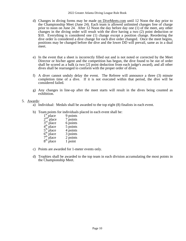- d) Changes in diving forms may be made on DiveMeets.com until 12 Noon the day prior to the Championship Meet (June 24). Each team is allowed unlimited changes free of charge prior to noon on June 24. After 12 Noon the day before day one (1) of the meet, any other changes in the diving order will result with the dive having a two (2) point deduction or \$10. Everything is considered one (1) change except a position change. Reordering the dive order is considered a dive change for each dive order changed. Once the meet begins, positions may be changed before the dive and the lower DD will prevail, same as in a dual meet.
- e) In the event that a sheet is incorrectly filled out and is not noted or corrected by the Meet Director or his/her agent and the competition has begun, the dive found to be out of order shall be scored as a balk (a two [2] point deduction from each judge's award), and all other dives shall be rearranged to conform with the proper order of dives.
- f) A diver cannot unduly delay the event. The Referee will announce a three (3) minute completion time of a dive. If it is not executed within that period, the dive will be considered failed.
- g) Any changes in line-up after the meet starts will result in the dives being counted as exhibition.

#### 5. Awards:

- a) Individual: Medals shall be awarded to the top eight (8) finalists in each event.
- b) Team points for individuals placed in each event shall be:

| $1st$ place<br>$2nd$ place                                                             | 9 points |
|----------------------------------------------------------------------------------------|----------|
|                                                                                        | 7 points |
| $2rd$ place<br>4 <sup>th</sup> place<br>5 <sup>th</sup> place<br>6 <sup>th</sup> place | 6 points |
|                                                                                        | 5 points |
|                                                                                        | 4 points |
|                                                                                        | 3 points |
| $7th$ place                                                                            | 2 points |
| $8th$ place                                                                            | 1 point  |

- c) Points are awarded for 1-meter events only.
- d) Trophies shall be awarded to the top team in each division accumulating the most points in the Championship Meet.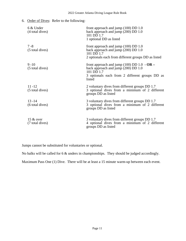#### 6. Order of Dives: Refer to the following:

| 6 & Under<br>(4 total dives)    | front approach and jump $(100)$ DD $1.0$<br>back approach and jump $(200)$ DD 1.0<br>101 DD 1.7<br>1 optional DD as listed                                         |
|---------------------------------|--------------------------------------------------------------------------------------------------------------------------------------------------------------------|
| $7 - 8$<br>(5 total dives)      | front approach and jump $(100)$ DD $1.0$<br>back approach and jump (200) DD 1.0<br>101 DD 1.7<br>2 optionals each from different groups DD as listed               |
| $9 - 10$<br>(5 total dives)     | front approach and jump (100) DD 1.0 $\cdot$ OR –<br>back approach and jump (200) DD 1.0<br>101 DD 1.7<br>3 optionals each from 2 different groups DD as<br>listed |
| $11 - 12$<br>(5 total dives)    | 2 voluntary dives from different groups DD 1.7<br>3 optional dives from a minimum of 2 different<br>groups DD as listed                                            |
| $13 - 14$<br>(6 total dives)    | 3 voluntary dives from different groups DD 1.7<br>3 optional dives from a minimum of 2 different<br>groups DD as listed                                            |
| 15 $\&$ over<br>(7 total dives) | 3 voluntary dives from different groups DD 1.7<br>4 optional dives from a minimum of 2 different<br>groups DD as listed                                            |

Jumps cannot be substituted for voluntaries or optional.

No balks will be called for 6 & unders in championships. They should be judged accordingly.

Maximum Pass One (1) Dive. There will be at least a 15 minute warm-up between each event.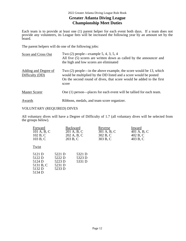#### **Greater Atlanta Diving League Championship Meet Duties**

Each team is to provide at least one (1) parent helper for each event both days. If a team does not provide any volunteers, its League fees will be increased the following year by an amount set by the board.

The parent helpers will do one of the following jobs:

| Score and Cross Out                     | Two $(2)$ people—example 5, 4, 3, 5, 4<br>All five (5) scores are written down as called by the announcer and<br>the high and low scores are eliminated                                                                  |
|-----------------------------------------|--------------------------------------------------------------------------------------------------------------------------------------------------------------------------------------------------------------------------|
| Adding and Degree of<br>Difficulty (DD) | Two $(2)$ people—in the above example, the score would be 13, which<br>would be multiplied by the DD listed and a score would be posted<br>On the second round of dives, that score would be added to the first<br>score |
| <b>Master Scorer</b>                    | One (1) person—places for each event will be tallied for each team.                                                                                                                                                      |
| Awards                                  | Ribbons, medals, and team score organizer.                                                                                                                                                                               |

#### VOLUNTARY (REQUIRED) DIVES

All voluntary dives will have a Degree of Difficulty of 1.7 (all voluntary dives will be selected from the groups below).

| Forward<br>101 A, B, C<br>102 B, C<br>103 B, C              | 203 B, C                                       | <b>Backward</b><br>201 A, B, C<br>202 A, B, C | Reverse<br>301 A, B, C<br>302 B, C<br>303 B, C | Inward<br>401 A, B, C<br>402 B, C<br>403 B, C |
|-------------------------------------------------------------|------------------------------------------------|-----------------------------------------------|------------------------------------------------|-----------------------------------------------|
| Twist                                                       |                                                |                                               |                                                |                                               |
| 5121 D<br>5122 D<br>5124 D<br>5131 B, C<br>5132 D<br>5134 D | 5221 D<br>5222 D<br>5223 D<br>5231 D<br>5233 D | 5321 D<br>5323 D<br>5331 D                    |                                                |                                               |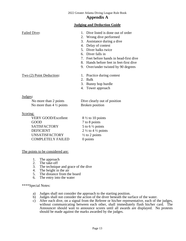#### **Appendix A**

#### **Judging and Deduction Guide**

| Failed Dive:                                                                                                                                                        | 1. Dive listed is done out of order<br>2. Wrong dive performed<br>3. Assistance during a dive<br>4. Delay of contest<br>5. Diver balks twice<br>6. Diver falls in<br>7. Feet before hands in head-first dive<br>8. Hands before feet in feet-first dive<br>9. Over/under twisted by 90 degrees |
|---------------------------------------------------------------------------------------------------------------------------------------------------------------------|------------------------------------------------------------------------------------------------------------------------------------------------------------------------------------------------------------------------------------------------------------------------------------------------|
| Two (2) Point Deduction:                                                                                                                                            | 1. Practice during contest<br>2. Balk<br>3. Bunny hop hurdle<br>4. Tower approach                                                                                                                                                                                                              |
| Judges:<br>No more than 2 points<br>No more than $4\frac{1}{2}$ points<br>Scoring:<br><b>VERY GOOD/Excellent</b><br>GOOD<br><b>SATISFACTORY</b><br><b>DEFICIENT</b> | Dive clearly out of position<br><b>Broken</b> position<br>$8\frac{1}{2}$ to 10 points<br>7 to 8 points<br>5 to 6 $\frac{1}{2}$ points<br>$2\frac{1}{2}$ to $4\frac{1}{2}$ points                                                                                                               |
| <b>UNSATISFACTORY</b><br><b>COMPLETELY FAILED</b>                                                                                                                   | $\frac{1}{2}$ to 2 points<br>0 points                                                                                                                                                                                                                                                          |

The points to be considered are:

- 1. The approach<br>2. The take-off
- The take-off
- 3. The technique and grace of the dive
- 4. The height in the air
- 5. The distance from the board
- 6. The entry into the water

\*\*\*\*Special Notes:

- a) Judges shall not consider the approach to the starting position.
- b) Judges shall not consider the action of the diver beneath the surface of the water.
- c) After each dive, on a signal from the Referee or his/her representative, each of the judges, without communicating between each other, shall immediately flash his/her card. The Announcer should wait to announce scores until all awards are displayed. No protests should be made against the marks awarded by the judges.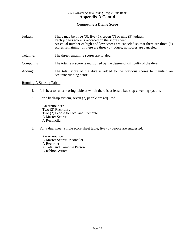#### **Computing a Diving Score**

| Judges:    | There may be three $(3)$ , five $(5)$ , seven $(7)$ or nine $(9)$ judges.<br>Each judge's score is recorded on the score sheet.<br>An equal number of high and low scores are canceled so that there are three (3)<br>scores remaining. If there are three (3) judges, no scores are canceled. |  |
|------------|------------------------------------------------------------------------------------------------------------------------------------------------------------------------------------------------------------------------------------------------------------------------------------------------|--|
| Totaling:  | The three remaining scores are totaled.                                                                                                                                                                                                                                                        |  |
| Computing: | The total raw score is multiplied by the degree of difficulty of the dive.                                                                                                                                                                                                                     |  |
| Adding:    | The total score of the dive is added to the previous scores to maintain an<br>accurate running score.                                                                                                                                                                                          |  |

#### Running A Scoring Table:

- 1. It is best to run a scoring table at which there is at least a back-up checking system.
- 2. For a back-up system, seven (7) people are required:

An Announcer Two (2) Recorders Two  $(2)$  People to Total and Compute A Master Scorer A Reconciler

3. For a dual meet, single score sheet table, five (5) people are suggested:

An Announcer A Master Scorer/Reconciler A Recorder A Total and Compute Person A Ribbon Writer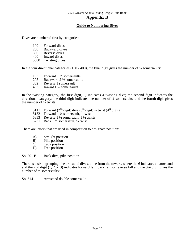#### **Appendix B**

#### **Guide to Numbering Dives**

Dives are numbered first by categories:

- 100 Forward dives<br>200 Backward dive
- 200 Backward dives<br>300 Reverse dives
- 300 Reverse dives<br>400 Inward dives
- Inward dives
- 5000 Twisting dives

In the four directional categories (100 - 400), the final digit gives the number of  $\frac{1}{2}$  somersaults:

- 103 Forward 1 ½ somersaults
- 205 Backward 2  $\frac{1}{2}$  somersaults<br>302 Reverse 1 somersault
- 302 Reverse 1 somersault<br>403 Inward  $1\frac{1}{2}$  somersault
- Inward  $1\frac{1}{2}$  somersaults

In the twisting category, the first digit, 5, indicates a twisting dive; the second digit indicates the directional category; the third digit indicates the number of ½ somersaults; and the fourth digit gives the number of  $\frac{1}{2}$  twists:

- 5111 Forward ( $2<sup>nd</sup>$  digit) dive ( $3<sup>rd</sup>$  digit) ½ twist ( $4<sup>th</sup>$  digit) 5132 Forward 1 ½ somersault, 1 twist
- Forward 1 ½ somersault, 1 twist
- 5333 Reverse 1 ½ somersault, 1 ½ twists
- 5231 Back 1 ½ somersault, ½ twist

There are letters that are used in competition to designate position:

- A) Straight position<br>B) Pike position
- B) Pike position<br>C) Tuck position
- Tuck position
- D) Free position

So, 201 B Back dive, pike position

There is a sixth grouping, the armstand dives, done from the towers, where the 6 indicates an armstand and the 2nd digit  $(1, 2 \text{ or } 3)$  indicates forward fall, back fall, or reverse fall and the 3<sup>rd</sup> digit gives the number of ½ somersaults:

So, 614 Armstand double somersault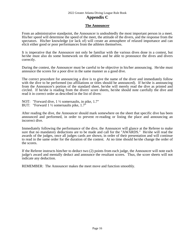#### 2022 Greater Atlanta Diving League Rule Book

#### **Appendix C**

#### **The Announcer**

From an administrative standpoint, the Announcer is undoubtedly the most important person in a meet. His/her speed will determine the speed of the meet, the attitude of the divers, and the response from the spectators. His/her knowledge (or lack of) will create an atmosphere of relaxed importance and can elicit either good or poor performances from the athletes themselves.

It is imperative that the Announcer not only be familiar with the various dives done in a contest, but he/she must also do some homework on the athletes and be able to pronounce the dives and divers correctly.

During the contest, the Announcer must be careful to be objective in his/her announcing. He/she must announce the scores for a poor dive in the same manner as a good dive.

The correct procedure for announcing a dive is to give the name of the diver and immediately follow with the dive to be performed (no affiliations or titles should be announced). If he/she is announcing from the Announcer's portion of the standard sheet, he/she will merely read the dive as printed and circled. If he/she is reading from the divers' score sheets, he/she should note carefully the dive and read it in correct order as described in the list of dives:

NOT: "Forward dive, 1  $\frac{1}{2}$  somersaults, in pike, 1.7" BUT: "Forward 1 ½ somersaults pike, 1.7"

After reading the dive, the Announcer should mark somewhere on the sheet that specific dive has been announced and performed, in order to prevent re-reading or listing the place and announcing an incorrect dive.

Immediately following the performance of the dive, the Announcer will glance at the Referee to make sure that no mandatory deductions are to be made and call for the "AWARDS." He/she will read the awards of the judges, once all judges cards are shown, in order of their presentation and will continue to read in the same order for the duration of the contest. At no time should he/she change the order of the scores.

If the Referee instructs him/her to deduct two (2) points from each judge, the Announcer will note each judge's award and mentally deduct and announce the resultant scores. Thus, the score sheets will not indicate any deduction.

REMEMBER: The Announcer makes the meet move and function smoothly.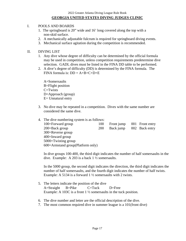#### I. POOLS AND BOARDS

- 1. The springboard is 20" wide and 16' long covered along the top with a non-skid surface.
- 2. A mechanically adjustable fulcrum is required for springboard diving events.
- 3. Mechanical surface agitation during the competition is recommended.

#### II. DIVING LIST

- 1. Any dive whose degree of difficulty can be determined by the official formula may be used in competition, unless competition requirements predetermine dive selection. GADL dives must be listed in the FINA DD table to be performed.
- 2. A dive's degree of difficulty (DD) is determined by the FINA formula. The FINA formula is:  $DD = A+B+C+D+E$

 A=Somersaults B=Flight position  $C=Twists$  D=Approach (group) E= Unnatural entry

3. No dive may be repeated in a competition. Dives with the same number are considered the same dive.

| 4. The dive numbering system is as follows: |            |            |                 |
|---------------------------------------------|------------|------------|-----------------|
| 100=Forward group                           | 100        | Front jump | 001 Front entry |
| 200=Back group                              | <b>200</b> | Back jump  | 002 Back entry  |
| 300=Reverse group                           |            |            |                 |
| 400=Inward group                            |            |            |                 |
| 5000=Twisting group                         |            |            |                 |
| 600 = Armstand group(Platform only)         |            |            |                 |

In dive groups 100-400, the third digit indicates the number of half somersaults in the dive. Example: A 203 is a back 1 ½ somersaults.

In the 5000 group, the second digit indicates the direction, the third digit indicates the number of half somersaults, and the fourth digit indicates the number of half twists. Example: A 5134 is a forward 1 ½ somersaults with 2 twists.

- 5. The letters indicate the position of the dive A=Straight B=Pike C=Tuck D=Free Example: A 103C is a front 1  $\frac{1}{2}$  somersaults in the tuck position.
- 6. The dive number and letter are the official description of the dive.
- 7. The most common required dive in summer league is a 101(front dive)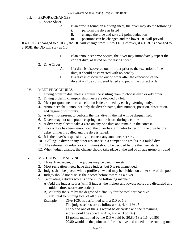#### III. ERRORS/CHANGES

- 1. Score Sheet
	- A. If an error is found on a diving sheet, the diver may do the following:
		- i. perform the dive as listed
		- ii. change the dive and take a 2 point deduction
		- iii. positions can be changed and the lower DD will prevail.

If a 103B is changed to a 103C, the DD will change from 1.7 to 1.6. However, if a 103C is changed to a 103B, the DD will stay as 1.6.

- B. If an announcer error occurs, the diver may immediately repeat the correct dive, as listed on the diving sheet.
- 2. Dive Order
	- A. If a dive is discovered out of order prior to the execution of the dive, it should be corrected with no penalty.
	- B. If a dive is discovered out of order after the execution of the dive, it will be considered failed and put in the correct order.

#### IV. MEET PROCEDURES

- 1. Diving order in dual meets requires the visiting team to choose even or odd order.
- 2. Diving order in championship meets are decided by lot.
- 3. Meet postponement or cancellation is determined by each governing body.
- 4. Announcer shall announce only the diver's name, dive number, position, description, and degree of difficulty.
- 5. A diver not present to perform the first dive in the list will be disqualified.
- 6. Divers may not take practice springs on the board during a contest.
- 7. A diver may elect to take a zero on any one dive and remain in the contest.
- 8. Once a dive has been announced, the diver has 3 minutes to perform the dive before delay of meet is called and the dive is failed.
- 9. It is the diver's responsibility to correct any announcer errors.
- 10. "Calling" a diver or any other assistance in a competition results in a failed dive.
- 11. The referee(individual or committee) should be decided before the meet starts.
- 12. When judges change, the change should take place at the end of an age group or round

#### V. METHODS OF MARKING

- 1. Three, five, seven, or nine judges may be used in meets.
- 2. Most recreation meets have three judges, but 5 is recommended.
- 3. Judges shall be placed with a profile view and may be divided on either side of the pool.
- 4. Judges should not discuss their score before awarding a diver.
- 5. Calculating a divers score is done in the following manner:

A) Add the judges scores(with 5 judges, the highest and lowest scores are discarded and the middle three scores are added)

B) Multiply the sum by the degree of difficulty for the total for that dive

C) Add total to running total of all dives.

Example: Dive 103C is performed with a DD of 1.6.

The judges scores are as follows:  $4\frac{1}{2}$ ,  $4$ ,  $4$ ,  $4\frac{1}{2}$ ,  $5$ 

The 5 and one of the 4's would be discarded and the remaining

scores would be added  $(4, 4 \frac{1}{2}, 4 \frac{1}{2} = 13 \text{ points})$ 

13 points multiplied by the DD would be 20.80(13 x 1.6=20.80)

20.80 would be the point total for this dive and added to the running total